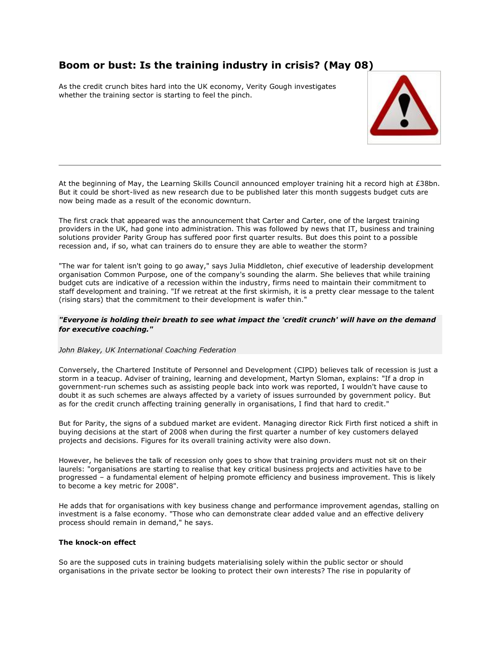# **Boom or bust: Is the training industry in crisis? (May 08)**

As the credit crunch bites hard into the UK economy, Verity Gough investigates whether the training sector is starting to feel the pinch.



At the beginning of May, the Learning Skills Council announced employer training hit a record high at £38bn. But it could be short-lived as new research due to be published later this month suggests budget cuts are now being made as a result of the economic downturn.

The first crack that appeared was the announcement that Carter and Carter, one of the largest training providers in the UK, had gone into administration. This was followed by news that IT, business and training solutions provider Parity Group has suffered poor first quarter results. But does this point to a possible recession and, if so, what can trainers do to ensure they are able to weather the storm?

"The war for talent isn't going to go away," says Julia Middleton, chief executive of leadership development organisation Common Purpose, one of the company's sounding the alarm. She believes that while training budget cuts are indicative of a recession within the industry, firms need to maintain their commitment to staff development and training. "If we retreat at the first skirmish, it is a pretty clear message to the talent (rising stars) that the commitment to their development is wafer thin."

### *"Everyone is holding their breath to see what impact the 'credit crunch' will have on the demand for executive coaching."*

## *John Blakey, UK International Coaching Federation*

Conversely, the Chartered Institute of Personnel and Development (CIPD) believes talk of recession is just a storm in a teacup. Adviser of training, learning and development, Martyn Sloman, explains: "If a drop in government-run schemes such as assisting people back into work was reported, I wouldn't have cause to doubt it as such schemes are always affected by a variety of issues surrounded by government policy. But as for the credit crunch affecting training generally in organisations, I find that hard to credit."

But for Parity, the signs of a subdued market are evident. Managing director Rick Firth first noticed a shift in buying decisions at the start of 2008 when during the first quarter a number of key customers delayed projects and decisions. Figures for its overall training activity were also down.

However, he believes the talk of recession only goes to show that training providers must not sit on their laurels: "organisations are starting to realise that key critical business projects and activities have to be progressed – a fundamental element of helping promote efficiency and business improvement. This is likely to become a key metric for 2008".

He adds that for organisations with key business change and performance improvement agendas, stalling on investment is a false economy. "Those who can demonstrate clear added value and an effective delivery process should remain in demand," he says.

## **The knock-on effect**

So are the supposed cuts in training budgets materialising solely within the public sector or should organisations in the private sector be looking to protect their own interests? The rise in popularity of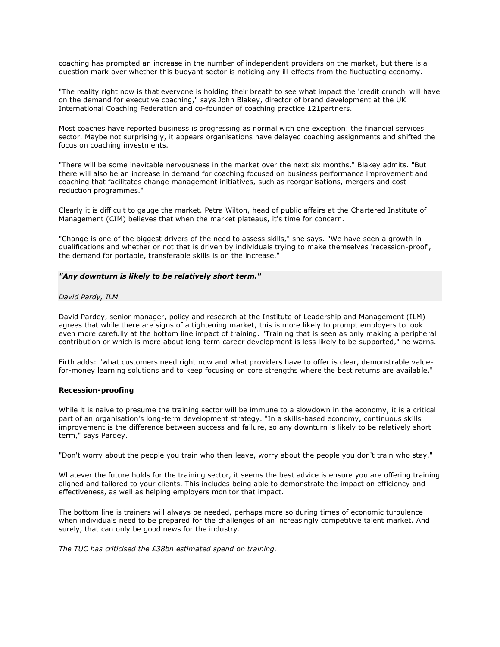coaching has prompted an increase in the number of independent providers on the market, but there is a question mark over whether this buoyant sector is noticing any ill-effects from the fluctuating economy.

"The reality right now is that everyone is holding their breath to see what impact the 'credit crunch' will have on the demand for executive coaching," says John Blakey, director of brand development at the UK International Coaching Federation and co-founder of coaching practice 121partners.

Most coaches have reported business is progressing as normal with one exception: the financial services sector. Maybe not surprisingly, it appears organisations have delayed coaching assignments and shifted the focus on coaching investments.

"There will be some inevitable nervousness in the market over the next six months," Blakey admits. "But there will also be an increase in demand for coaching focused on business performance improvement and coaching that facilitates change management initiatives, such as reorganisations, mergers and cost reduction programmes."

Clearly it is difficult to gauge the market. Petra Wilton, head of public affairs at the Chartered Institute of Management (CIM) believes that when the market plateaus, it's time for concern.

"Change is one of the biggest drivers of the need to assess skills," she says. "We have seen a growth in qualifications and whether or not that is driven by individuals trying to make themselves 'recession-proof', the demand for portable, transferable skills is on the increase."

#### *"Any downturn is likely to be relatively short term."*

#### *David Pardy, ILM*

David Pardey, senior manager, policy and research at the Institute of Leadership and Management (ILM) agrees that while there are signs of a tightening market, this is more likely to prompt employers to look even more carefully at the bottom line impact of training. "Training that is seen as only making a peripheral contribution or which is more about long-term career development is less likely to be supported," he warns.

Firth adds: "what customers need right now and what providers have to offer is clear, demonstrable valuefor-money learning solutions and to keep focusing on core strengths where the best returns are available."

#### **Recession-proofing**

While it is naive to presume the training sector will be immune to a slowdown in the economy, it is a critical part of an organisation's long-term development strategy. "In a skills-based economy, continuous skills improvement is the difference between success and failure, so any downturn is likely to be relatively short term," says Pardey.

"Don't worry about the people you train who then leave, worry about the people you don't train who stay."

Whatever the future holds for the training sector, it seems the best advice is ensure you are offering training aligned and tailored to your clients. This includes being able to demonstrate the impact on efficiency and effectiveness, as well as helping employers monitor that impact.

The bottom line is trainers will always be needed, perhaps more so during times of economic turbulence when individuals need to be prepared for the challenges of an increasingly competitive talent market. And surely, that can only be good news for the industry.

*The TUC has criticised the £38bn estimated spend on training.*